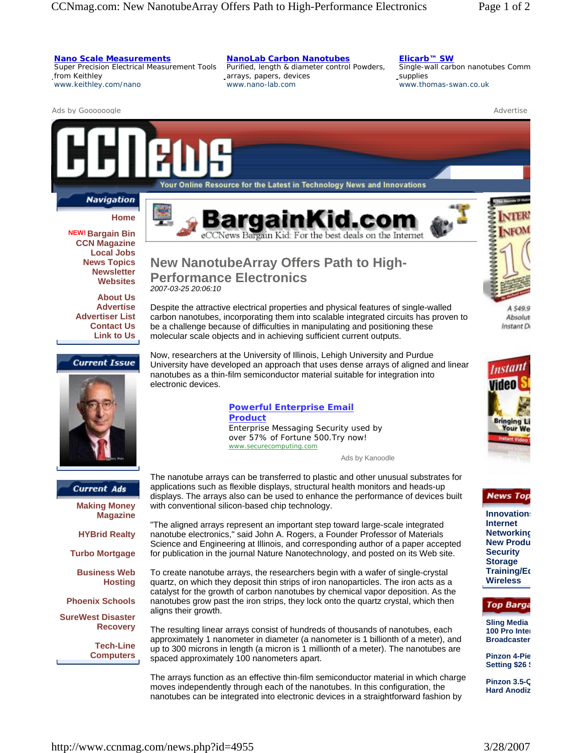### **Nano Scale Measurements**

Super Precision Electrical Measurement Tools from Keithley www.keithley.com/nano

#### **NanoLab Carbon Nanotubes**

Purified, length & diameter control Powders, arrays, papers, devices www.nano-lab.com

# **Elicarb™ SW**

Single-wall carbon nanotubes Comm supplies www.thomas-swan.co.uk